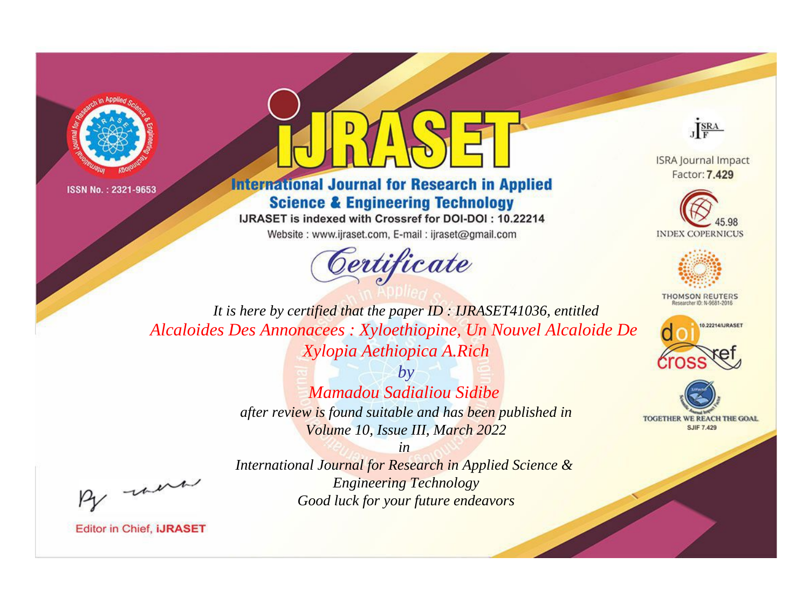



**International Journal for Research in Applied Science & Engineering Technology** 

IJRASET is indexed with Crossref for DOI-DOI: 10.22214

Website: www.ijraset.com, E-mail: ijraset@gmail.com





**ISRA Journal Impact** Factor: 7.429





**THOMSON REUTERS** 



TOGETHER WE REACH THE GOAL **SJIF 7.429** 

*It is here by certified that the paper ID : IJRASET41036, entitled Alcaloides Des Annonacees : Xyloethiopine, Un Nouvel Alcaloide De Xylopia Aethiopica A.Rich*

> *by Mamadou Sadialiou Sidibe after review is found suitable and has been published in Volume 10, Issue III, March 2022*

- were

*International Journal for Research in Applied Science & Engineering Technology Good luck for your future endeavors*

*in*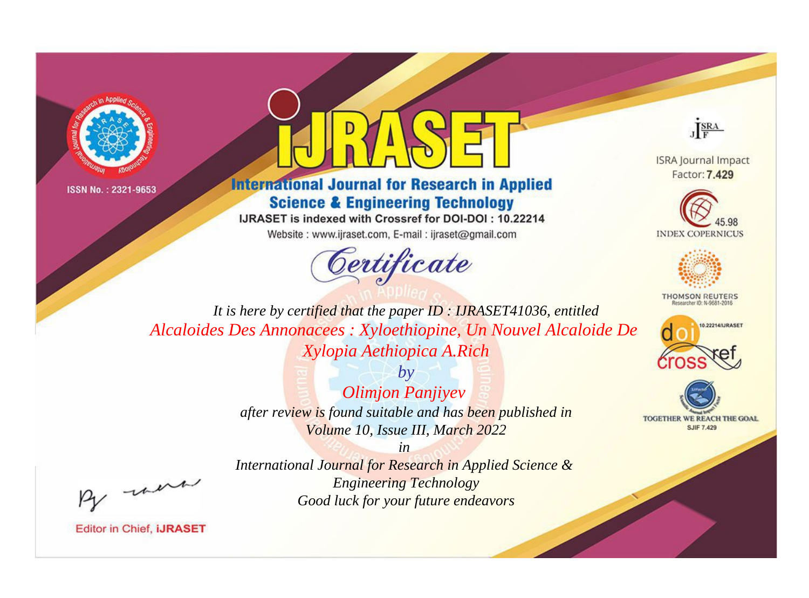



**International Journal for Research in Applied Science & Engineering Technology** 

IJRASET is indexed with Crossref for DOI-DOI: 10.22214

Website: www.ijraset.com, E-mail: ijraset@gmail.com





**ISRA Journal Impact** Factor: 7.429





**THOMSON REUTERS** 



TOGETHER WE REACH THE GOAL **SJIF 7.429** 

*It is here by certified that the paper ID : IJRASET41036, entitled Alcaloides Des Annonacees : Xyloethiopine, Un Nouvel Alcaloide De Xylopia Aethiopica A.Rich*

> *by Olimjon Panjiyev after review is found suitable and has been published in Volume 10, Issue III, March 2022*

- were

*International Journal for Research in Applied Science & Engineering Technology Good luck for your future endeavors*

*in*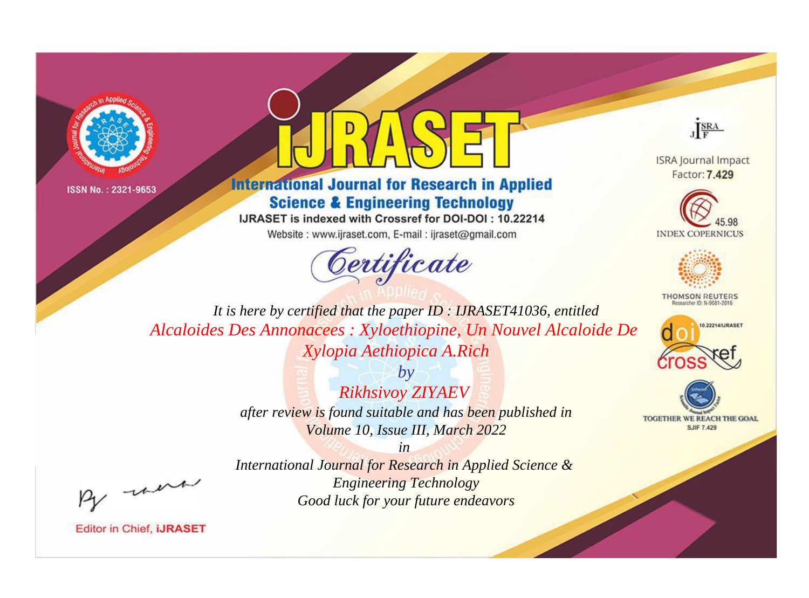



**International Journal for Research in Applied Science & Engineering Technology** 

IJRASET is indexed with Crossref for DOI-DOI: 10.22214

Website: www.ijraset.com, E-mail: ijraset@gmail.com





**ISRA Journal Impact** Factor: 7.429





**THOMSON REUTERS** 



TOGETHER WE REACH THE GOAL **SJIF 7.429** 

*It is here by certified that the paper ID : IJRASET41036, entitled Alcaloides Des Annonacees : Xyloethiopine, Un Nouvel Alcaloide De Xylopia Aethiopica A.Rich*

> *by Rikhsivoy ZIYAEV after review is found suitable and has been published in Volume 10, Issue III, March 2022*

- were

*International Journal for Research in Applied Science & Engineering Technology Good luck for your future endeavors*

*in*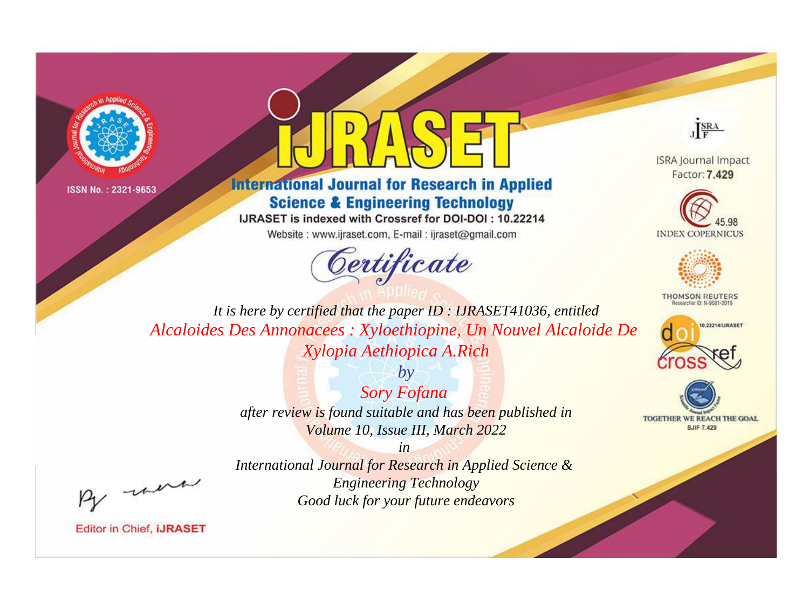



**International Journal for Research in Applied Science & Engineering Technology** 

IJRASET is indexed with Crossref for DOI-DOI: 10.22214

Website: www.ijraset.com, E-mail: ijraset@gmail.com





**ISRA Journal Impact** Factor: 7.429





**THOMSON REUTERS** 



TOGETHER WE REACH THE GOAL **SJIF 7.429** 

*It is here by certified that the paper ID : IJRASET41036, entitled Alcaloides Des Annonacees : Xyloethiopine, Un Nouvel Alcaloide De Xylopia Aethiopica A.Rich*

> *Sory Fofana after review is found suitable and has been published in Volume 10, Issue III, March 2022*

> > *in*

*by*

- were

*International Journal for Research in Applied Science & Engineering Technology Good luck for your future endeavors*